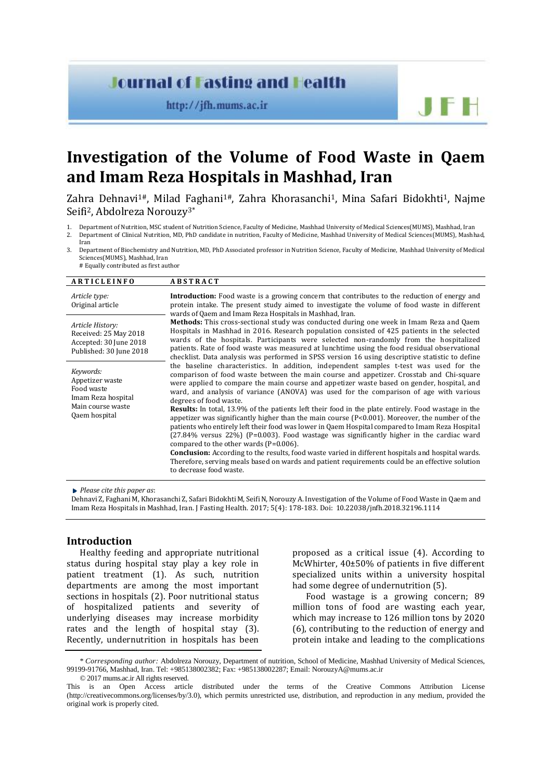## **Journal of Fasting and Health**

http://jfh.mums.ac.ir

# **Investigation of the Volume of Food Waste in Qaem and Imam Reza Hospitals in Mashhad, Iran**

Zahra Dehnavi<sup>1#</sup>, Milad Faghani<sup>1#</sup>, Zahra Khorasanchi<sup>1</sup>, Mina Safari Bidokhti<sup>1</sup>, Najme Seifi2, Abdolreza Norouzy3\*

- 1. Department of Nutrition, MSC student of Nutrition Science, Faculty of Medicine, Mashhad University of Medical Sciences(MUMS), Mashhad, Iran 2. Department of Clinical Nutrition, MD, PhD candidate in nutrition, Faculty of Medicine, Mashhad University of Medical Sciences(MUMS), Mashhad,
- Iran 3. Department of Biochemistry and Nutrition, MD, PhD Associated professor in Nutrition Science, Faculty of Medicine, Mashhad University of Medical Sciences(MUMS), Mashhad, Iran
	- # Equally contributed as first author

#### **A R T I C L E I N F O A B S T R A C T**

| Article type:<br>Original article                                                              | <b>Introduction:</b> Food waste is a growing concern that contributes to the reduction of energy and<br>protein intake. The present study aimed to investigate the volume of food waste in different<br>wards of Qaem and Imam Reza Hospitals in Mashhad, Iran.                                                                                                                                                                                                                           |
|------------------------------------------------------------------------------------------------|-------------------------------------------------------------------------------------------------------------------------------------------------------------------------------------------------------------------------------------------------------------------------------------------------------------------------------------------------------------------------------------------------------------------------------------------------------------------------------------------|
| Article History:<br>Received: 25 May 2018<br>Accepted: 30 June 2018<br>Published: 30 June 2018 | <b>Methods:</b> This cross-sectional study was conducted during one week in Imam Reza and Qaem<br>Hospitals in Mashhad in 2016. Research population consisted of 425 patients in the selected<br>wards of the hospitals. Participants were selected non-randomly from the hospitalized<br>patients. Rate of food waste was measured at lunchtime using the food residual observational<br>checklist. Data analysis was performed in SPSS version 16 using descriptive statistic to define |
| Keywords:<br>Appetizer waste<br>Food waste<br>Imam Reza hospital<br>Main course waste          | the baseline characteristics. In addition, independent samples t-test was used for the<br>comparison of food waste between the main course and appetizer. Crosstab and Chi-square<br>were applied to compare the main course and appetizer waste based on gender, hospital, and<br>ward, and analysis of variance (ANOVA) was used for the comparison of age with various<br>degrees of food waste.                                                                                       |
| Qaem hospital                                                                                  | <b>Results:</b> In total, 13.9% of the patients left their food in the plate entirely. Food wastage in the<br>appetizer was significantly higher than the main course $(P<0.001)$ . Moreover, the number of the<br>patients who entirely left their food was lower in Qaem Hospital compared to Imam Reza Hospital<br>$(27.84\%$ versus 22%) (P=0.003). Food wastage was significantly higher in the cardiac ward<br>compared to the other wards (P=0.006).                               |
|                                                                                                | <b>Conclusion:</b> According to the results, food waste varied in different hospitals and hospital wards.<br>Therefore, serving meals based on wards and patient requirements could be an effective solution<br>to decrease food waste.                                                                                                                                                                                                                                                   |

*Please cite this paper as*:

Dehnavi Z, Faghani M, Khorasanchi Z, Safari Bidokhti M, SeifiN, NorouzyA. Investigation of the Volume of Food Waste in Qaem and Imam Reza Hospitals in Mashhad, Iran. J Fasting Health. 2017; 5(4): 178-183. Doi: 10.22038/jnfh.2018.32196.1114

## **Introduction**

Healthy feeding and appropriate nutritional status during hospital stay play a key role in patient treatment (1). As such, nutrition departments are among the most important sections in hospitals (2). Poor nutritional status of hospitalized patients and severity of underlying diseases may increase morbidity rates and the length of hospital stay (3). Recently, undernutrition in hospitals has been proposed as a critical issue (4). According to McWhirter, 40±50% of patients in five different specialized units within a university hospital had some degree of undernutrition (5).

 $F +$ 

Food wastage is a growing concern; 89 million tons of food are wasting each year, which may increase to 126 million tons by 2020 (6), contributing to the reduction of energy and protein intake and leading to the complications

<sup>\*</sup> *Corresponding author:* Abdolreza Norouzy, Department of nutrition, School of Medicine, Mashhad University of Medical Sciences, 99199-91766, Mashhad, Iran. Tel: +985138002382; Fax: +985138002287; Email[: NorouzyA@mums.ac.ir](mailto:NorouzyA@mums.ac.ir)

<sup>© 2017</sup> mums.ac.ir All rights reserved.

This is an Open Access article distributed under the terms of the Creative Commons Attribution License (http://creativecommons.org/licenses/by/3.0), which permits unrestricted use, distribution, and reproduction in any medium, provided the original work is properly cited.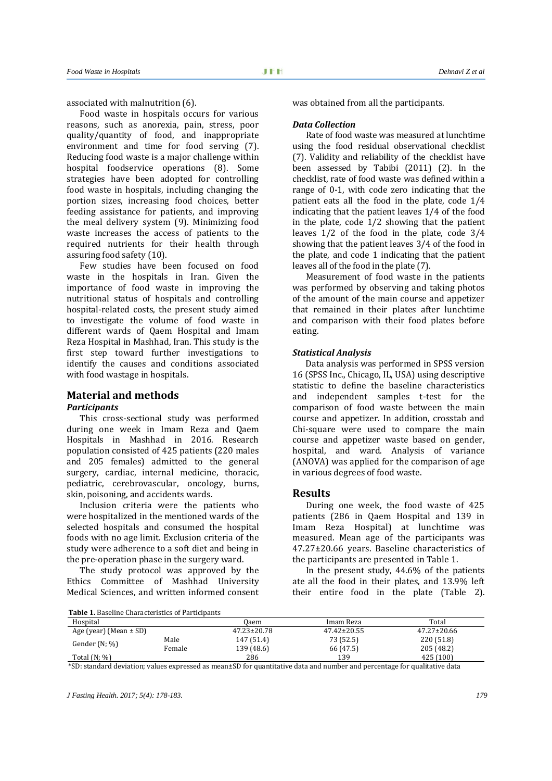associated with malnutrition (6).

Food waste in hospitals occurs for various reasons, such as anorexia, pain, stress, poor quality/quantity of food, and inappropriate environment and time for food serving (7). Reducing food waste is a major challenge within hospital foodservice operations (8). Some strategies have been adopted for controlling food waste in hospitals, including changing the portion sizes, increasing food choices, better feeding assistance for patients, and improving the meal delivery system (9). Minimizing food waste increases the access of patients to the required nutrients for their health through assuring food safety (10).

Few studies have been focused on food waste in the hospitals in Iran. Given the importance of food waste in improving the nutritional status of hospitals and controlling hospital-related costs, the present study aimed to investigate the volume of food waste in different wards of Qaem Hospital and Imam Reza Hospital in Mashhad, Iran. This study is the first step toward further investigations to identify the causes and conditions associated with food wastage in hospitals.

## **Material and methods**

## *Participants*

This cross-sectional study was performed during one week in Imam Reza and Qaem Hospitals in Mashhad in 2016. Research population consisted of 425 patients (220 males and 205 females) admitted to the general surgery, cardiac, internal medicine, thoracic, pediatric, cerebrovascular, oncology, burns, skin, poisoning, and accidents wards.

Inclusion criteria were the patients who were hospitalized in the mentioned wards of the selected hospitals and consumed the hospital foods with no age limit. Exclusion criteria of the study were adherence to a soft diet and being in the pre-operation phase in the surgery ward.

The study protocol was approved by the Ethics Committee of Mashhad University Medical Sciences, and written informed consent was obtained from all the participants.

#### *Data Collection*

Rate of food waste was measured at lunchtime using the food residual observational checklist (7). Validity and reliability of the checklist have been assessed by Tabibi (2011) (2). In the checklist, rate of food waste was defined within a range of 0-1, with code zero indicating that the patient eats all the food in the plate, code 1/4 indicating that the patient leaves 1/4 of the food in the plate, code 1/2 showing that the patient leaves 1/2 of the food in the plate, code 3/4 showing that the patient leaves 3/4 of the food in the plate, and code 1 indicating that the patient leaves all of the food in the plate (7).

Measurement of food waste in the patients was performed by observing and taking photos of the amount of the main course and appetizer that remained in their plates after lunchtime and comparison with their food plates before eating.

## *Statistical Analysis*

Data analysis was performed in SPSS version 16 (SPSS Inc., Chicago, IL, USA) using descriptive statistic to define the baseline characteristics and independent samples t-test for the comparison of food waste between the main course and appetizer. In addition, crosstab and Chi-square were used to compare the main course and appetizer waste based on gender, hospital, and ward. Analysis of variance (ANOVA) was applied for the comparison of age in various degrees of food waste.

## **Results**

During one week, the food waste of 425 patients (286 in Qaem Hospital and 139 in Imam Reza Hospital) at lunchtime was measured. Mean age of the participants was 47.27±20.66 years. Baseline characteristics of the participants are presented in Table 1.

In the present study, 44.6% of the patients ate all the food in their plates, and 13.9% left their entire food in the plate (Table 2).

**Table 1.** Baseline Characteristics of Participants

| Hospital                   |        | 0aem              | Imam Reza         | Total             |  |
|----------------------------|--------|-------------------|-------------------|-------------------|--|
| Age (year) (Mean $\pm$ SD) |        | $47.23 \pm 20.78$ | $47.42 \pm 20.55$ | $47.27 \pm 20.66$ |  |
| Gender $(N; \%)$           | Male   | 147 (51.4)        | 73 (52.5)         | 220 (51.8)        |  |
|                            | Female | 139 (48.6)        | 66 (47.5)         | 205 (48.2)        |  |
| Total $(N; \%)$            |        | 286               | 139               | 425 (100)         |  |

\*SD: standard deviation; values expressed as mean±SD for quantitative data and number and percentage for qualitative data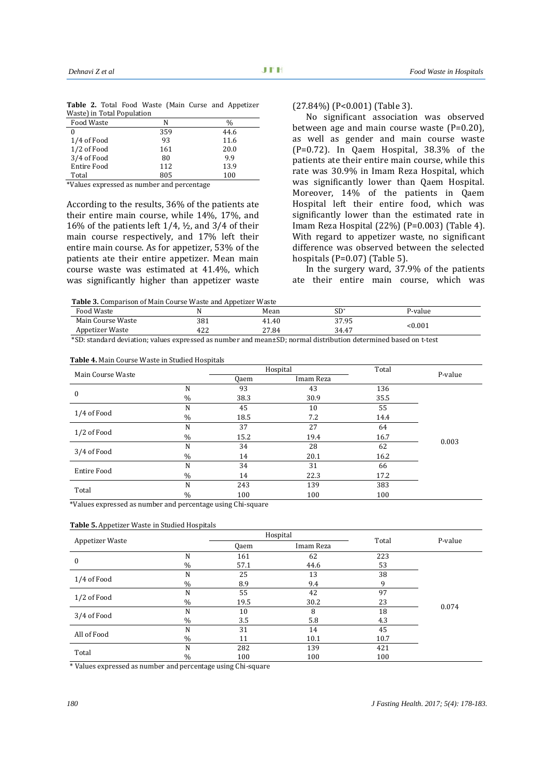|                            |  |  |  | <b>Table 2.</b> Total Food Waste (Main Curse and Appetizer |
|----------------------------|--|--|--|------------------------------------------------------------|
| Waste) in Total Population |  |  |  |                                                            |

| Food Waste         | N   | $\frac{0}{0}$ |
|--------------------|-----|---------------|
| 0                  | 359 | 44.6          |
| 1/4 of Food        | 93  | 11.6          |
| 1/2 of Food        | 161 | 20.0          |
| 3/4 of Food        | 80  | 9.9           |
| <b>Entire Food</b> | 112 | 13.9          |
| Total              | 805 | 100           |

\*Values expressed as number and percentage

According to the results, 36% of the patients ate their entire main course, while 14%, 17%, and 16% of the patients left 1/4, ½, and 3/4 of their main course respectively, and 17% left their entire main course. As for appetizer, 53% of the patients ate their entire appetizer. Mean main course waste was estimated at 41.4%, which was significantly higher than appetizer waste

## (27.84%) (P<0.001) (Table 3).

No significant association was observed between age and main course waste (P=0.20), as well as gender and main course waste (P=0.72). In Qaem Hospital, 38.3% of the patients ate their entire main course, while this rate was 30.9% in Imam Reza Hospital, which was significantly lower than Qaem Hospital. Moreover, 14% of the patients in Qaem Hospital left their entire food, which was significantly lower than the estimated rate in Imam Reza Hospital (22%) (P=0.003) (Table 4). With regard to appetizer waste, no significant difference was observed between the selected hospitals (P=0.07) (Table 5).

In the surgery ward, 37.9% of the patients ate their entire main course, which was

 **Table 3.** Comparison of Main Course Waste and Appetizer Waste

| <b>Food Waste</b> |           | Mean  | $SD^*$ | P-value |
|-------------------|-----------|-------|--------|---------|
| Main Course Waste | 381       | 1.40ء | 37.95  | < 0.001 |
| Appetizer Waste   | າາ<br>424 | 27.84 | 34.47  |         |
| $\sim$ $ -$<br>.  |           | $ -$  |        |         |

\*SD: standard deviation; values expressed as number and mean±SD; normal distribution determined based on t-test

#### **Table 4.** Main Course Waste in Studied Hospitals

| Main Course Waste  |               |      | Hospital  | Total | P-value |
|--------------------|---------------|------|-----------|-------|---------|
|                    |               | 0aem | Imam Reza |       |         |
| $\mathbf{0}$       | N             | 93   | 43        | 136   |         |
|                    | $\frac{0}{0}$ | 38.3 | 30.9      | 35.5  |         |
| 1/4 of Food        | N             | 45   | 10        | 55    |         |
|                    | $\frac{0}{0}$ | 18.5 | 7.2       | 14.4  |         |
|                    | N             | 37   | 27        | 64    |         |
| 1/2 of Food        | $\frac{0}{0}$ | 15.2 | 19.4      | 16.7  | 0.003   |
| 3/4 of Food        | N             | 34   | 28        | 62    |         |
|                    | $\%$          | 14   | 20.1      | 16.2  |         |
| <b>Entire Food</b> | N             | 34   | 31        | 66    |         |
|                    | $\%$          | 14   | 22.3      | 17.2  |         |
| Total              | N             | 243  | 139       | 383   |         |
|                    | $\frac{0}{0}$ | 100  | 100       | 100   |         |

\*Values expressed as number and percentage using Chi-square

#### **Table 5.** Appetizer Waste in Studied Hospitals

| Appetizer Waste |               |                   | Hospital | Total | P-value |
|-----------------|---------------|-------------------|----------|-------|---------|
|                 |               | Imam Reza<br>Qaem |          |       |         |
| $\mathbf{0}$    | N             | 161               | 62       | 223   |         |
|                 | $\%$          | 57.1              | 44.6     | 53    |         |
| 1/4 of Food     | N             | 25                | 13       | 38    |         |
|                 | $\frac{0}{0}$ | 8.9               | 9.4      | 9     |         |
|                 | N             | 55                | 42       | 97    |         |
| 1/2 of Food     | $\frac{0}{0}$ | 19.5              | 30.2     | 23    | 0.074   |
|                 | N             | 10                | 8        | 18    |         |
| 3/4 of Food     | $\frac{0}{0}$ | 3.5               | 5.8      | 4.3   |         |
| All of Food     | N             | 31                | 14       | 45    |         |
|                 | $\%$          | 11                | 10.1     | 10.7  |         |
| Total           | N             | 282               | 139      | 421   |         |
|                 | $\frac{0}{0}$ | 100               | 100      | 100   |         |

\* Values expressed as number and percentage using Chi-square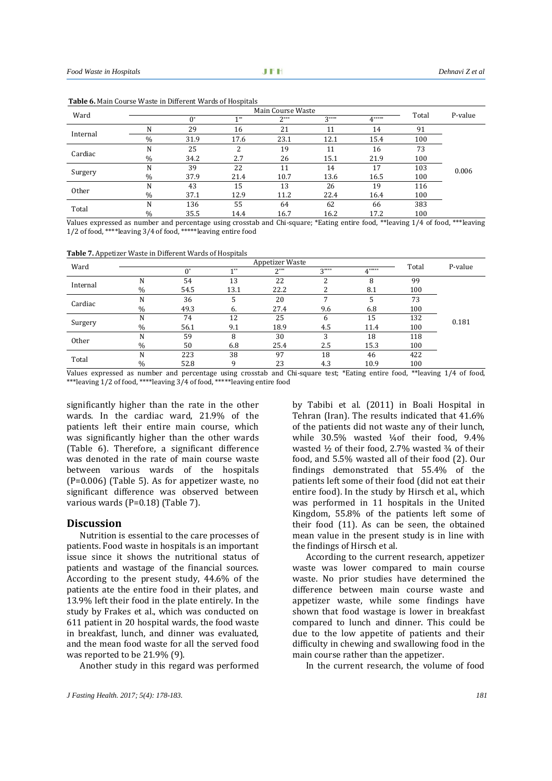| Ward     |               |      |      | Main Course Waste |        |        | Total | P-value |
|----------|---------------|------|------|-------------------|--------|--------|-------|---------|
|          |               | 0*   | 4 米米 | $2***$            | $2***$ | $4***$ |       |         |
| Internal | N             | 29   | 16   | 21                | 11     | 14     | 91    |         |
|          | $\%$          | 31.9 | 17.6 | 23.1              | 12.1   | 15.4   | 100   |         |
| Cardiac  | N             | 25   |      | 19                | 11     | 16     | 73    |         |
|          | $\frac{0}{0}$ | 34.2 | 2.7  | 26                | 15.1   | 21.9   | 100   |         |
|          | N             | 39   | 22   | 11                | 14     | 17     | 103   | 0.006   |
| Surgery  | $\%$          | 37.9 | 21.4 | 10.7              | 13.6   | 16.5   | 100   |         |
| Other    | N             | 43   | 15   | 13                | 26     | 19     | 116   |         |
|          | $\%$          | 37.1 | 12.9 | 11.2              | 22.4   | 16.4   | 100   |         |
| Total    | N             | 136  | 55   | 64                | 62     | 66     | 383   |         |
|          | $\%$          | 35.5 | 14.4 | 16.7              | 16.2   | 17.2   | 100   |         |

**Table 6.** Main Course Waste in Different Wards of Hospitals

Values expressed as number and percentage using crosstab and Chi-square; \*Eating entire food, \*\*leaving 1/4 of food, \*\*\*leaving 1/2 of food, \*\*\*\*leaving 3/4 of food, \*\*\*\*\*leaving entire food

**Table 7.** Appetizer Waste in Different Wards of Hospitals

| Ward     | Appetizer Waste |       |       |        |        |        |       | P-value |
|----------|-----------------|-------|-------|--------|--------|--------|-------|---------|
|          |                 | $0^*$ | $1**$ | $2***$ | $2***$ | $4***$ | Total |         |
|          | N               | 54    | 13    | 22     | ∍      | 8      | 99    |         |
| Internal | $\%$            | 54.5  | 13.1  | 22.2   |        | 8.1    | 100   |         |
| Cardiac  | N               | 36    |       | 20     |        |        | 73    |         |
|          | $\%$            | 49.3  | 6.    | 27.4   | 9.6    | 6.8    | 100   |         |
|          | N               | 74    | 12    | 25     | 6      | 15     | 132   | 0.181   |
| Surgery  | $\%$            | 56.1  | 9.1   | 18.9   | 4.5    | 11.4   | 100   |         |
| Other    | N               | 59    | 8     | 30     | 3      | 18     | 118   |         |
|          | $\%$            | 50    | 6.8   | 25.4   | 2.5    | 15.3   | 100   |         |
| Total    | N               | 223   | 38    | 97     | 18     | 46     | 422   |         |
|          | $\%$            | 52.8  | q     | 23     | 4.3    | 10.9   | 100   |         |

Values expressed as number and percentage using crosstab and Chi-square test; \*Eating entire food, \*\*leaving 1/4 of food, \*\*\*leaving 1/2 of food, \*\*\*\*leaving 3/4 of food, \*\*\*\*\*leaving entire food

significantly higher than the rate in the other wards. In the cardiac ward, 21.9% of the patients left their entire main course, which was significantly higher than the other wards (Table 6). Therefore, a significant difference was denoted in the rate of main course waste between various wards of the hospitals (P=0.006) (Table 5). As for appetizer waste, no significant difference was observed between various wards (P=0.18) (Table 7).

## **Discussion**

Nutrition is essential to the care processes of patients. Food waste in hospitals is an important issue since it shows the nutritional status of patients and wastage of the financial sources. According to the present study, 44.6% of the patients ate the entire food in their plates, and 13.9% left their food in the plate entirely. In the study by Frakes et al., which was conducted on 611 patient in 20 hospital wards, the food waste in breakfast, lunch, and dinner was evaluated, and the mean food waste for all the served food was reported to be 21.9% (9).

Another study in this regard was performed

by Tabibi et al. (2011) in Boali Hospital in Tehran (Iran). The results indicated that 41.6% of the patients did not waste any of their lunch, while 30.5% wasted ¼of their food, 9.4% wasted  $\frac{1}{2}$  of their food, 2.7% wasted  $\frac{3}{4}$  of their food, and 5.5% wasted all of their food (2). Our findings demonstrated that 55.4% of the patients left some of their food (did not eat their entire food). In the study by Hirsch et al., which was performed in 11 hospitals in the United Kingdom, 55.8% of the patients left some of their food (11). As can be seen, the obtained mean value in the present study is in line with the findings of Hirsch et al.

According to the current research, appetizer waste was lower compared to main course waste. No prior studies have determined the difference between main course waste and appetizer waste, while some findings have shown that food wastage is lower in breakfast compared to lunch and dinner. This could be due to the low appetite of patients and their difficulty in chewing and swallowing food in the main course rather than the appetizer.

In the current research, the volume of food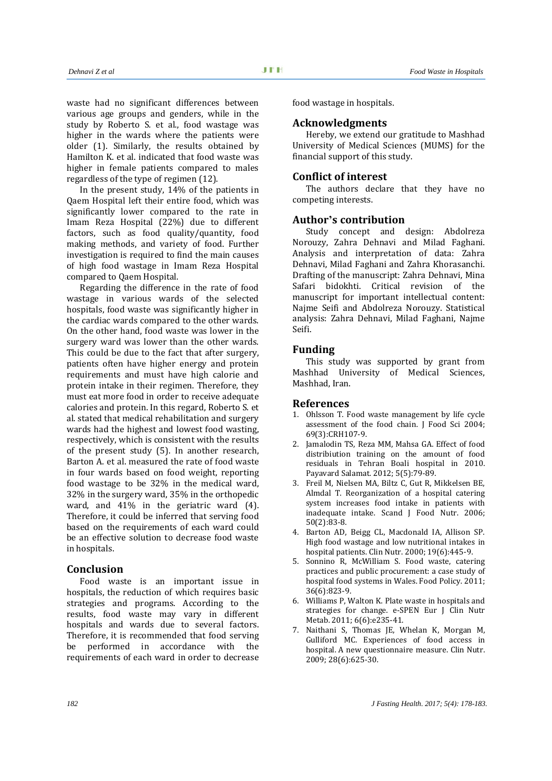waste had no significant differences between various age groups and genders, while in the study by Roberto S. et al., food wastage was higher in the wards where the patients were older (1). Similarly, the results obtained by Hamilton K. et al. indicated that food waste was higher in female patients compared to males regardless of the type of regimen (12).

In the present study, 14% of the patients in Qaem Hospital left their entire food, which was significantly lower compared to the rate in Imam Reza Hospital (22%) due to different factors, such as food quality/quantity, food making methods, and variety of food. Further investigation is required to find the main causes of high food wastage in Imam Reza Hospital compared to Qaem Hospital.

Regarding the difference in the rate of food wastage in various wards of the selected hospitals, food waste was significantly higher in the cardiac wards compared to the other wards. On the other hand, food waste was lower in the surgery ward was lower than the other wards. This could be due to the fact that after surgery, patients often have higher energy and protein requirements and must have high calorie and protein intake in their regimen. Therefore, they must eat more food in order to receive adequate calories and protein. In this regard, Roberto S. et al. stated that medical rehabilitation and surgery wards had the highest and lowest food wasting, respectively, which is consistent with the results of the present study (5). In another research, Barton A. et al. measured the rate of food waste in four wards based on food weight, reporting food wastage to be 32% in the medical ward, 32% in the surgery ward, 35% in the orthopedic ward, and 41% in the geriatric ward (4). Therefore, it could be inferred that serving food based on the requirements of each ward could be an effective solution to decrease food waste in hospitals.

## **Conclusion**

Food waste is an important issue in hospitals, the reduction of which requires basic strategies and programs. According to the results, food waste may vary in different hospitals and wards due to several factors. Therefore, it is recommended that food serving be performed in accordance with the requirements of each ward in order to decrease

food wastage in hospitals.

## **Acknowledgments**

Hereby, we extend our gratitude to Mashhad University of Medical Sciences (MUMS) for the financial support of this study.

## **Conflict of interest**

The authors declare that they have no competing interests.

## **Author's contribution**

Study concept and design: Abdolreza Norouzy, Zahra Dehnavi and Milad Faghani. Analysis and interpretation of data: Zahra Dehnavi, Milad Faghani and Zahra Khorasanchi. Drafting of the manuscript: Zahra Dehnavi, Mina Safari bidokhti. Critical revision of the manuscript for important intellectual content: Najme Seifi and Abdolreza Norouzy. Statistical analysis: Zahra Dehnavi, Milad Faghani, Najme Seifi.

## **Funding**

This study was supported by grant from Mashhad University of Medical Sciences, Mashhad, Iran.

## **References**

- 1. Ohlsson T. Food waste management by life cycle assessment of the food chain. J Food Sci 2004; 69(3):CRH107-9.
- 2. Jamalodin TS, Reza MM, Mahsa GA. Effect of food distribiution training on the amount of food residuals in Tehran Boali hospital in 2010. Payavard Salamat. 2012; 5(5):79-89.
- 3. Freil M, Nielsen MA, Biltz C, Gut R, Mikkelsen BE, Almdal T. Reorganization of a hospital catering system increases food intake in patients with inadequate intake. Scand J Food Nutr. 2006; 50(2):83-8.
- 4. Barton AD, Beigg CL, Macdonald IA, Allison SP. High food wastage and low nutritional intakes in hospital patients. Clin Nutr. 2000; 19(6):445-9.
- 5. Sonnino R, McWilliam S. Food waste, catering practices and public procurement: a case study of hospital food systems in Wales. Food Policy. 2011; 36(6):823-9.
- 6. Williams P, Walton K. Plate waste in hospitals and strategies for change. e-SPEN Eur J Clin Nutr Metab. 2011; 6(6):e235-41.
- 7. Naithani S, Thomas JE, Whelan K, Morgan M, Gulliford MC. Experiences of food access in hospital. A new questionnaire measure. Clin Nutr. 2009; 28(6):625-30.